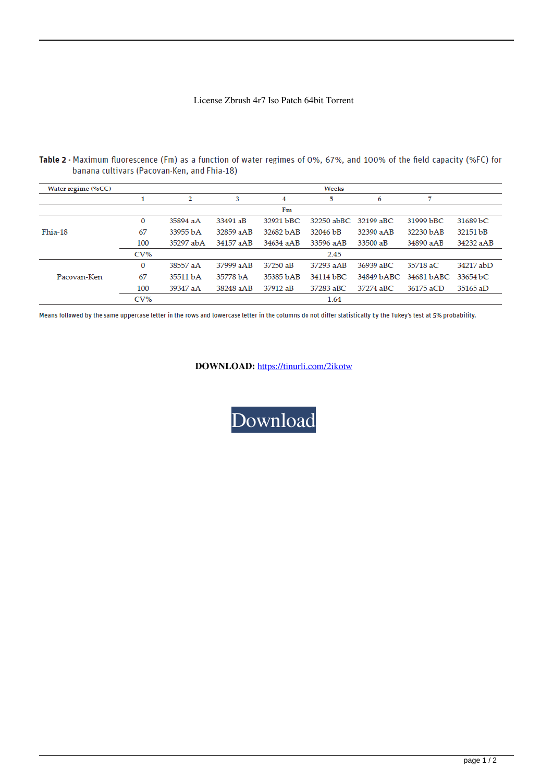## License Zbrush 4r7 Iso Patch 64bit Torrent

Table 2 - Maximum fluorescence (Fm) as a function of water regimes of 0%, 67%, and 100% of the field capacity (%FC) for banana cultivars (Pacovan-Ken, and Fhia-18)

| Water regime (%CC) |        |           |           |           | Weeks                |            |            |           |
|--------------------|--------|-----------|-----------|-----------|----------------------|------------|------------|-----------|
|                    |        | 2         |           | 4         | 5                    | 6          |            |           |
|                    |        |           |           | Fm        |                      |            |            |           |
|                    | 0      | 35894 aA  | 33491 aB  | 32921 bBC | 32250 abBC 32199 aBC |            | 31999 bBC. | 31689 bC  |
| Fhia-18            | 67     | 33955 bA  | 32859 aAB | 32682 bAB | 32046 bB             | 32390 aAB  | 32230 bAB  | 32151 bB  |
|                    | 100    | 35297 abA | 34157 aAB | 34634 aAB | 33596 aAB            | 33500 aB   | 34890 aAB  | 34232 aAB |
|                    | $CV\%$ |           |           |           | 2.45                 |            |            |           |
|                    | 0      | 38557 aA  | 37999 aAB | 37250 aB  | 37293 aAB            | 36939 aBC  | 35718 aC   | 34217 abD |
| Pacovan-Ken        | 67     | 35511 bA  | 35778 bA  | 35385 bAB | 34114 bBC            | 34849 bABC | 34681 bABC | 33654 bC  |
|                    | 100    | 39347 aA  | 38248 aAB | 37912 aB  | 37283 aBC            | 37274 aBC  | 36175 aCD  | 35165 aD  |
|                    | $CV\%$ |           |           |           | 1.64                 |            |            |           |

Means followed by the same uppercase letter in the rows and lowercase letter in the columns do not differ statistically by the Tukey's test at 5% probability.

DOWNLOAD: https://tinurli.com/2ikotw